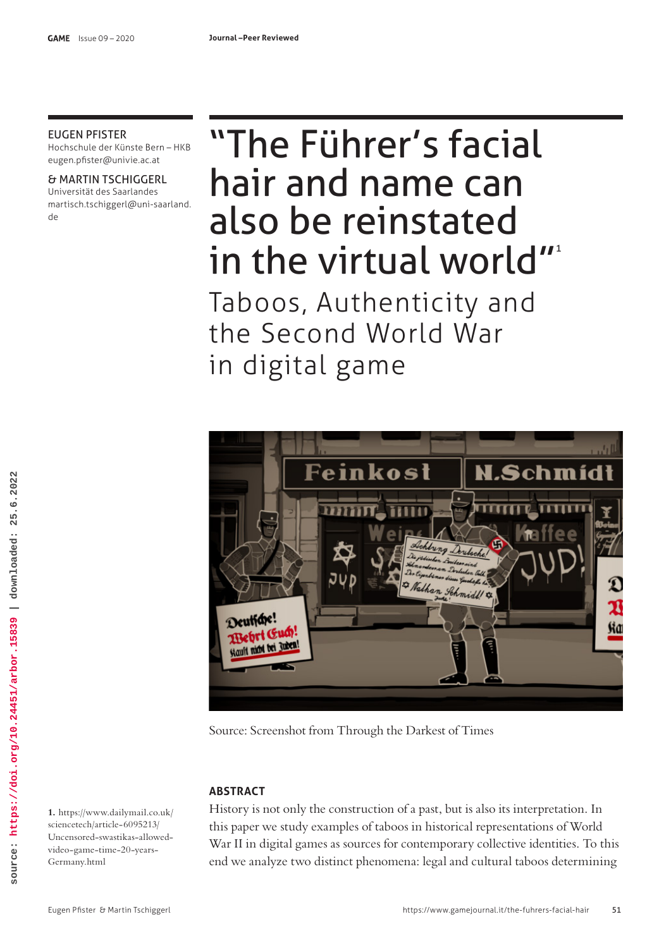# EUGEN PFISTER

Hochschule der Künste Bern – HKB eugen.pfster@univie.ac.at

& MARTIN TSCHIGGERL Universität des Saarlandes martisch.tschiggerl@uni-saarland. de

# "The Führer's facial hair and name can also be reinstated in the virtual world"<sup>1</sup>

Taboos, Authenticity and the Second World War in digital game



Source: Screenshot from Through the Darkest of Times

# **ABSTRACT**

History is not only the construction of a past, but is also its interpretation. In this paper we study examples of taboos in historical representations of World War II in digital games as sources for contemporary collective identities. To this end we analyze two distinct phenomena: legal and cultural taboos determining

**1.** https://www.dailymail.co.uk/ sciencetech/article-6095213/ Uncensored-swastikas-allowedvideo-game-time-20-years-Germany.html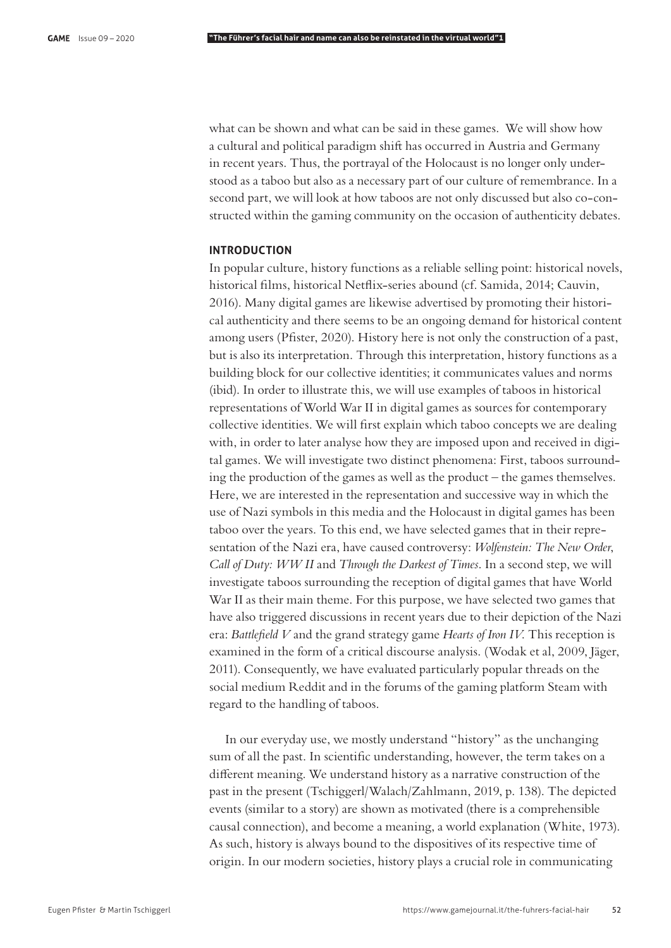what can be shown and what can be said in these games. We will show how a cultural and political paradigm shift has occurred in Austria and Germany in recent years. Thus, the portrayal of the Holocaust is no longer only understood as a taboo but also as a necessary part of our culture of remembrance. In a second part, we will look at how taboos are not only discussed but also co-constructed within the gaming community on the occasion of authenticity debates.

## **INTRODUCTION**

In popular culture, history functions as a reliable selling point: historical novels, historical films, historical Netflix-series abound (cf. Samida, 2014; Cauvin, 2016). Many digital games are likewise advertised by promoting their historical authenticity and there seems to be an ongoing demand for historical content among users (Pfister, 2020). History here is not only the construction of a past, but is also its interpretation. Through this interpretation, history functions as a building block for our collective identities; it communicates values and norms (ibid). In order to illustrate this, we will use examples of taboos in historical representations of World War II in digital games as sources for contemporary collective identities. We will first explain which taboo concepts we are dealing with, in order to later analyse how they are imposed upon and received in digital games. We will investigate two distinct phenomena: First, taboos surrounding the production of the games as well as the product – the games themselves. Here, we are interested in the representation and successive way in which the use of Nazi symbols in this media and the Holocaust in digital games has been taboo over the years. To this end, we have selected games that in their representation of the Nazi era, have caused controversy: *Wolfenstein: The New Order*, *Call of Duty: WW II* and *Through the Darkest of Times*. In a second step, we will investigate taboos surrounding the reception of digital games that have World War II as their main theme. For this purpose, we have selected two games that have also triggered discussions in recent years due to their depiction of the Nazi era: *Battlefield V* and the grand strategy game *Hearts of Iron IV*. This reception is examined in the form of a critical discourse analysis. (Wodak et al, 2009, Jäger, 2011). Consequently, we have evaluated particularly popular threads on the social medium Reddit and in the forums of the gaming platform Steam with regard to the handling of taboos.

In our everyday use, we mostly understand "history" as the unchanging sum of all the past. In scientific understanding, however, the term takes on a different meaning. We understand history as a narrative construction of the past in the present (Tschiggerl/Walach/Zahlmann, 2019, p. 138). The depicted events (similar to a story) are shown as motivated (there is a comprehensible causal connection), and become a meaning, a world explanation (White, 1973). As such, history is always bound to the dispositives of its respective time of origin. In our modern societies, history plays a crucial role in communicating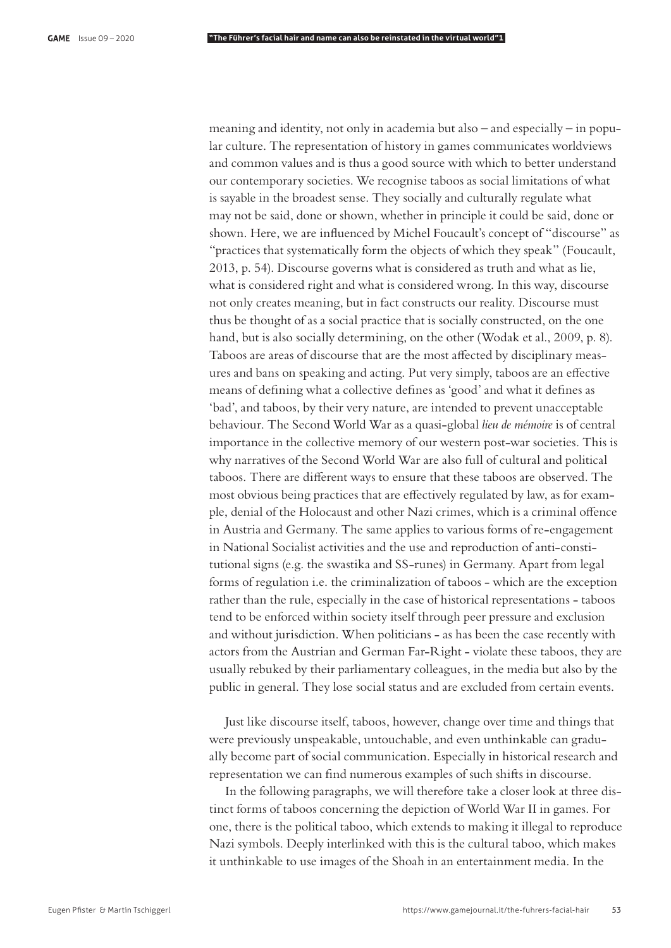meaning and identity, not only in academia but also – and especially – in popular culture. The representation of history in games communicates worldviews and common values and is thus a good source with which to better understand our contemporary societies. We recognise taboos as social limitations of what is sayable in the broadest sense. They socially and culturally regulate what may not be said, done or shown, whether in principle it could be said, done or shown. Here, we are influenced by Michel Foucault's concept of "discourse" as "practices that systematically form the objects of which they speak" (Foucault, 2013, p. 54). Discourse governs what is considered as truth and what as lie, what is considered right and what is considered wrong. In this way, discourse not only creates meaning, but in fact constructs our reality. Discourse must thus be thought of as a social practice that is socially constructed, on the one hand, but is also socially determining, on the other (Wodak et al., 2009, p. 8). Taboos are areas of discourse that are the most affected by disciplinary measures and bans on speaking and acting. Put very simply, taboos are an effective means of defining what a collective defines as 'good' and what it defines as 'bad', and taboos, by their very nature, are intended to prevent unacceptable behaviour. The Second World War as a quasi-global *lieu de mémoire* is of central importance in the collective memory of our western post-war societies. This is why narratives of the Second World War are also full of cultural and political taboos. There are different ways to ensure that these taboos are observed. The most obvious being practices that are effectively regulated by law, as for example, denial of the Holocaust and other Nazi crimes, which is a criminal offence in Austria and Germany. The same applies to various forms of re-engagement in National Socialist activities and the use and reproduction of anti-constitutional signs (e.g. the swastika and SS-runes) in Germany. Apart from legal forms of regulation i.e. the criminalization of taboos - which are the exception rather than the rule, especially in the case of historical representations - taboos tend to be enforced within society itself through peer pressure and exclusion and without jurisdiction. When politicians - as has been the case recently with actors from the Austrian and German Far-Right - violate these taboos, they are usually rebuked by their parliamentary colleagues, in the media but also by the public in general. They lose social status and are excluded from certain events.

Just like discourse itself, taboos, however, change over time and things that were previously unspeakable, untouchable, and even unthinkable can gradually become part of social communication. Especially in historical research and representation we can find numerous examples of such shifts in discourse.

In the following paragraphs, we will therefore take a closer look at three distinct forms of taboos concerning the depiction of World War II in games. For one, there is the political taboo, which extends to making it illegal to reproduce Nazi symbols. Deeply interlinked with this is the cultural taboo, which makes it unthinkable to use images of the Shoah in an entertainment media. In the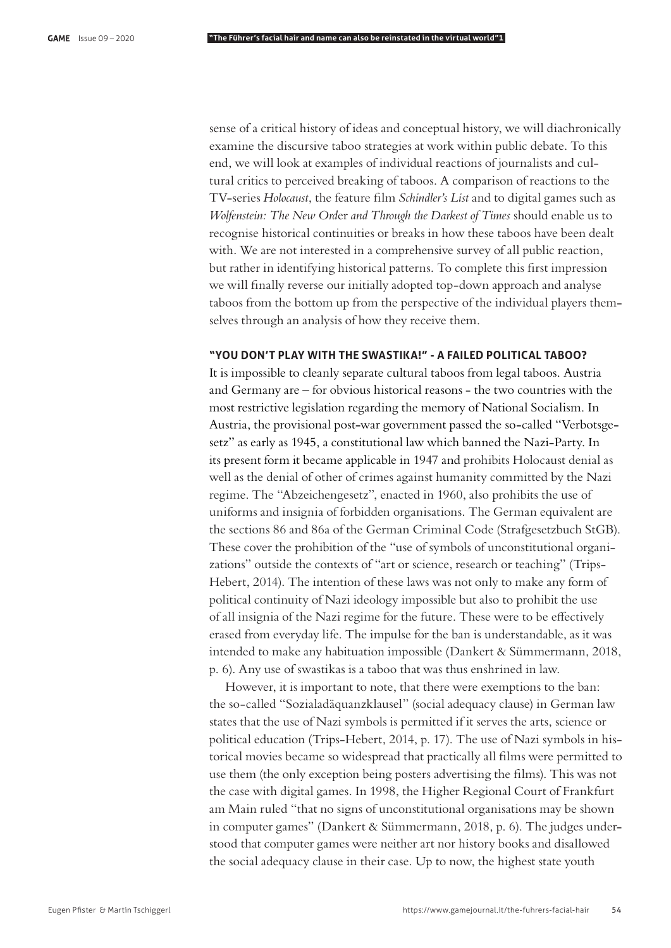sense of a critical history of ideas and conceptual history, we will diachronically examine the discursive taboo strategies at work within public debate. To this end, we will look at examples of individual reactions of journalists and cultural critics to perceived breaking of taboos. A comparison of reactions to the TV-series *Holocaust*, the feature film *Schindler's List* and to digital games such as *Wolfenstein: The New Ord*er *and Through the Darkest of Times* should enable us to recognise historical continuities or breaks in how these taboos have been dealt with. We are not interested in a comprehensive survey of all public reaction, but rather in identifying historical patterns. To complete this first impression we will finally reverse our initially adopted top-down approach and analyse taboos from the bottom up from the perspective of the individual players themselves through an analysis of how they receive them.

# **"YOU DON'T PLAY WITH THE SWASTIKA!" - A FAILED POLITICAL TABOO?**

It is impossible to cleanly separate cultural taboos from legal taboos. Austria and Germany are – for obvious historical reasons - the two countries with the most restrictive legislation regarding the memory of National Socialism. In Austria, the provisional post-war government passed the so-called "Verbotsgesetz" as early as 1945, a constitutional law which banned the Nazi-Party. In its present form it became applicable in 1947 and prohibits Holocaust denial as well as the denial of other of crimes against humanity committed by the Nazi regime. The "Abzeichengesetz", enacted in 1960, also prohibits the use of uniforms and insignia of forbidden organisations. The German equivalent are the sections 86 and 86a of the German Criminal Code (Strafgesetzbuch StGB). These cover the prohibition of the "use of symbols of unconstitutional organizations" outside the contexts of "art or science, research or teaching" (Trips-Hebert, 2014). The intention of these laws was not only to make any form of political continuity of Nazi ideology impossible but also to prohibit the use of all insignia of the Nazi regime for the future. These were to be effectively erased from everyday life. The impulse for the ban is understandable, as it was intended to make any habituation impossible (Dankert & Sümmermann, 2018, p. 6). Any use of swastikas is a taboo that was thus enshrined in law.

However, it is important to note, that there were exemptions to the ban: the so-called "Sozialadäquanzklausel" (social adequacy clause) in German law states that the use of Nazi symbols is permitted if it serves the arts, science or political education (Trips-Hebert, 2014, p. 17). The use of Nazi symbols in historical movies became so widespread that practically all films were permitted to use them (the only exception being posters advertising the films). This was not the case with digital games. In 1998, the Higher Regional Court of Frankfurt am Main ruled "that no signs of unconstitutional organisations may be shown in computer games" (Dankert & Sümmermann, 2018, p. 6). The judges understood that computer games were neither art nor history books and disallowed the social adequacy clause in their case. Up to now, the highest state youth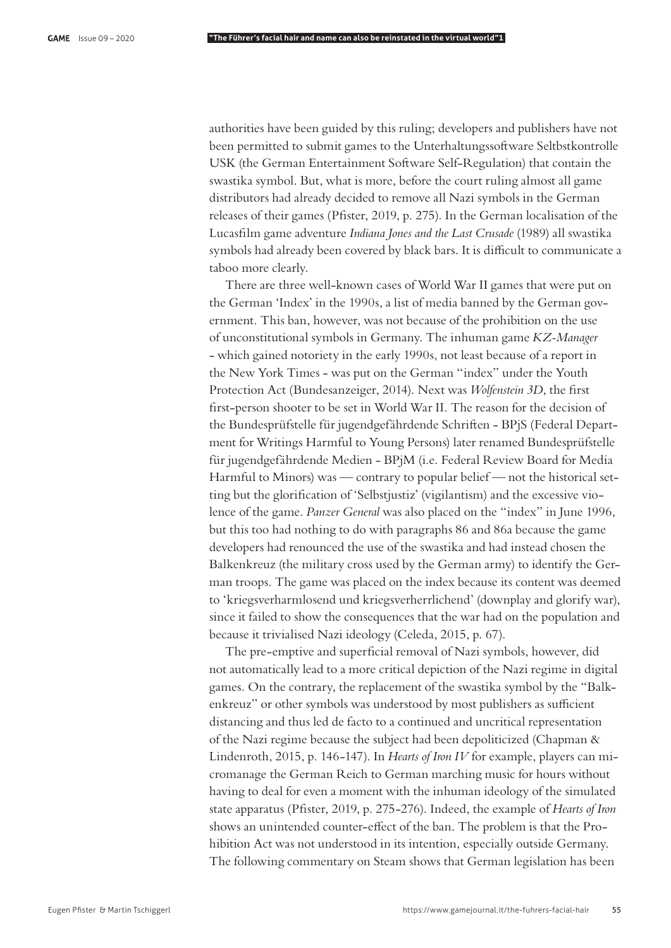authorities have been guided by this ruling; developers and publishers have not been permitted to submit games to the Unterhaltungssoftware Seltbstkontrolle USK (the German Entertainment Software Self-Regulation) that contain the swastika symbol. But, what is more, before the court ruling almost all game distributors had already decided to remove all Nazi symbols in the German releases of their games (Pfister, 2019, p. 275). In the German localisation of the Lucas"lm game adventure *Indiana Jones and the Last Crusade* (1989) all swastika symbols had already been covered by black bars. It is difficult to communicate a taboo more clearly.

There are three well-known cases of World War II games that were put on the German 'Index' in the 1990s, a list of media banned by the German government. This ban, however, was not because of the prohibition on the use of unconstitutional symbols in Germany. The inhuman game *KZ-Manager* - which gained notoriety in the early 1990s, not least because of a report in the New York Times - was put on the German "index" under the Youth Protection Act (Bundesanzeiger, 2014). Next was *Wolfenstein 3D*, the first first-person shooter to be set in World War II. The reason for the decision of the Bundesprüfstelle für jugendgefährdende Schriften - BPjS (Federal Department for Writings Harmful to Young Persons) later renamed Bundesprüfstelle für jugendgefährdende Medien - BPjM (i.e. Federal Review Board for Media Harmful to Minors) was — contrary to popular belief — not the historical setting but the glorification of 'Selbstjustiz' (vigilantism) and the excessive violence of the game. *Panzer General* was also placed on the "index" in June 1996, but this too had nothing to do with paragraphs 86 and 86a because the game developers had renounced the use of the swastika and had instead chosen the Balkenkreuz (the military cross used by the German army) to identify the German troops. The game was placed on the index because its content was deemed to 'kriegsverharmlosend und kriegsverherrlichend' (downplay and glorify war), since it failed to show the consequences that the war had on the population and because it trivialised Nazi ideology (Celeda, 2015, p. 67).

The pre-emptive and superficial removal of Nazi symbols, however, did not automatically lead to a more critical depiction of the Nazi regime in digital games. On the contrary, the replacement of the swastika symbol by the "Balkenkreuz" or other symbols was understood by most publishers as sufficient distancing and thus led de facto to a continued and uncritical representation of the Nazi regime because the subject had been depoliticized (Chapman & Lindenroth, 2015, p. 146-147). In *Hearts of Iron IV* for example, players can micromanage the German Reich to German marching music for hours without having to deal for even a moment with the inhuman ideology of the simulated state apparatus (Pfister, 2019, p. 275-276). Indeed, the example of *Hearts of Iron* shows an unintended counter-effect of the ban. The problem is that the Prohibition Act was not understood in its intention, especially outside Germany. The following commentary on Steam shows that German legislation has been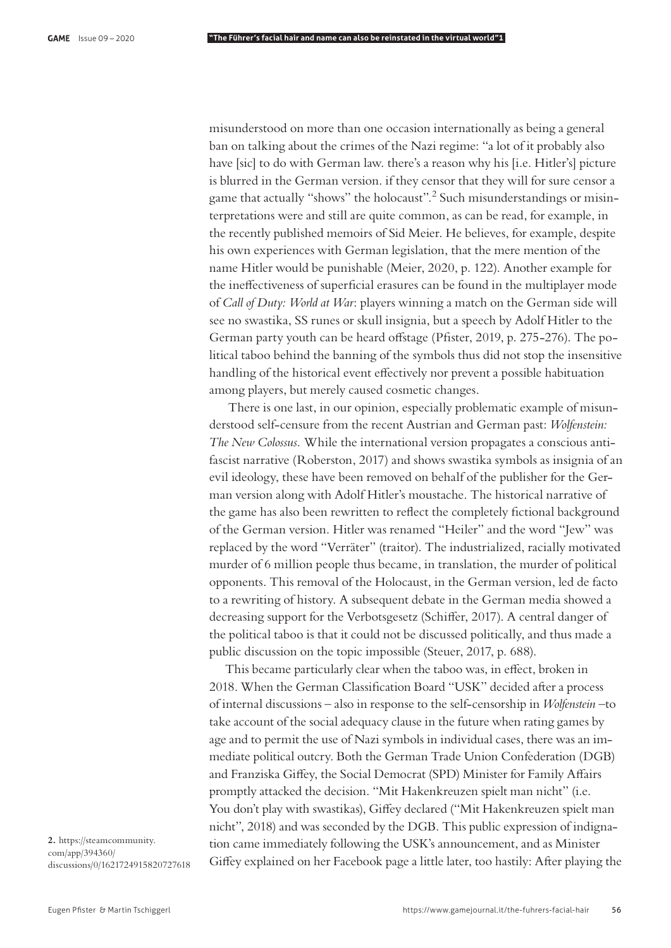misunderstood on more than one occasion internationally as being a general ban on talking about the crimes of the Nazi regime: "a lot of it probably also have [sic] to do with German law. there's a reason why his [i.e. Hitler's] picture is blurred in the German version. if they censor that they will for sure censor a game that actually "shows" the holocaust".<sup>2</sup> Such misunderstandings or misinterpretations were and still are quite common, as can be read, for example, in the recently published memoirs of Sid Meier. He believes, for example, despite his own experiences with German legislation, that the mere mention of the name Hitler would be punishable (Meier, 2020, p. 122). Another example for the ineffectiveness of superficial erasures can be found in the multiplayer mode of *Call of Duty: World at War*: players winning a match on the German side will see no swastika, SS runes or skull insignia, but a speech by Adolf Hitler to the German party youth can be heard offstage (Pfister, 2019, p. 275-276). The political taboo behind the banning of the symbols thus did not stop the insensitive handling of the historical event effectively nor prevent a possible habituation among players, but merely caused cosmetic changes.

 There is one last, in our opinion, especially problematic example of misunderstood self-censure from the recent Austrian and German past: *Wolfenstein: The New Colossus.* While the international version propagates a conscious antifascist narrative (Roberston, 2017) and shows swastika symbols as insignia of an evil ideology, these have been removed on behalf of the publisher for the German version along with Adolf Hitler's moustache. The historical narrative of the game has also been rewritten to reflect the completely fictional background of the German version. Hitler was renamed "Heiler" and the word "Jew" was replaced by the word "Verräter" (traitor). The industrialized, racially motivated murder of 6 million people thus became, in translation, the murder of political opponents. This removal of the Holocaust, in the German version, led de facto to a rewriting of history. A subsequent debate in the German media showed a decreasing support for the Verbotsgesetz (Schiffer, 2017). A central danger of the political taboo is that it could not be discussed politically, and thus made a public discussion on the topic impossible (Steuer, 2017, p. 688).

This became particularly clear when the taboo was, in effect, broken in 2018. When the German Classification Board "USK" decided after a process of internal discussions – also in response to the self-censorship in *Wolfenstein* –to take account of the social adequacy clause in the future when rating games by age and to permit the use of Nazi symbols in individual cases, there was an immediate political outcry. Both the German Trade Union Confederation (DGB) and Franziska Giffey, the Social Democrat (SPD) Minister for Family Affairs promptly attacked the decision. "Mit Hakenkreuzen spielt man nicht" (i.e. You don't play with swastikas), Giffey declared ("Mit Hakenkreuzen spielt man nicht", 2018) and was seconded by the DGB. This public expression of indignation came immediately following the USK's announcement, and as Minister Giffey explained on her Facebook page a little later, too hastily: After playing the

**2.** https://steamcommunity. com/app/394360/ discussions/0/1621724915820727618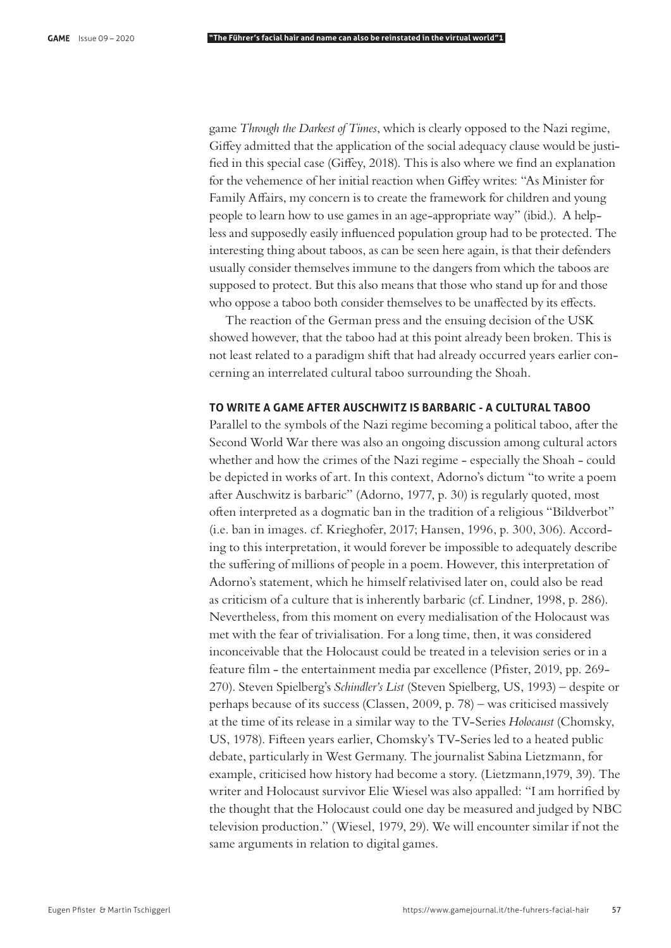game *Through the Darkest of Times*, which is clearly opposed to the Nazi regime, Giffey admitted that the application of the social adequacy clause would be justi- $\beta$  fied in this special case (Giffey, 2018). This is also where we find an explanation for the vehemence of her initial reaction when Giffey writes: "As Minister for Family Affairs, my concern is to create the framework for children and young people to learn how to use games in an age-appropriate way" (ibid.). A helpless and supposedly easily influenced population group had to be protected. The interesting thing about taboos, as can be seen here again, is that their defenders usually consider themselves immune to the dangers from which the taboos are supposed to protect. But this also means that those who stand up for and those who oppose a taboo both consider themselves to be unaffected by its effects.

The reaction of the German press and the ensuing decision of the USK showed however, that the taboo had at this point already been broken. This is not least related to a paradigm shift that had already occurred years earlier concerning an interrelated cultural taboo surrounding the Shoah.

# **TO WRITE A GAME AFTER AUSCHWITZ IS BARBARIC - A CULTURAL TABOO**

Parallel to the symbols of the Nazi regime becoming a political taboo, after the Second World War there was also an ongoing discussion among cultural actors whether and how the crimes of the Nazi regime - especially the Shoah - could be depicted in works of art. In this context, Adorno's dictum "to write a poem after Auschwitz is barbaric" (Adorno, 1977, p. 30) is regularly quoted, most often interpreted as a dogmatic ban in the tradition of a religious "Bildverbot" (i.e. ban in images. cf. Krieghofer, 2017; Hansen, 1996, p. 300, 306). According to this interpretation, it would forever be impossible to adequately describe the suffering of millions of people in a poem. However, this interpretation of Adorno's statement, which he himself relativised later on, could also be read as criticism of a culture that is inherently barbaric (cf. Lindner, 1998, p. 286). Nevertheless, from this moment on every medialisation of the Holocaust was met with the fear of trivialisation. For a long time, then, it was considered inconceivable that the Holocaust could be treated in a television series or in a feature film - the entertainment media par excellence (Pfister, 2019, pp. 269-270). Steven Spielberg's *Schindler's List* (Steven Spielberg, US, 1993) – despite or perhaps because of its success (Classen, 2009, p. 78) – was criticised massively at the time of its release in a similar way to the TV-Series *Holocaust* (Chomsky, US, 1978). Fifteen years earlier, Chomsky's TV-Series led to a heated public debate, particularly in West Germany. The journalist Sabina Lietzmann, for example, criticised how history had become a story. (Lietzmann,1979, 39). The writer and Holocaust survivor Elie Wiesel was also appalled: "I am horrified by the thought that the Holocaust could one day be measured and judged by NBC television production." (Wiesel, 1979, 29). We will encounter similar if not the same arguments in relation to digital games.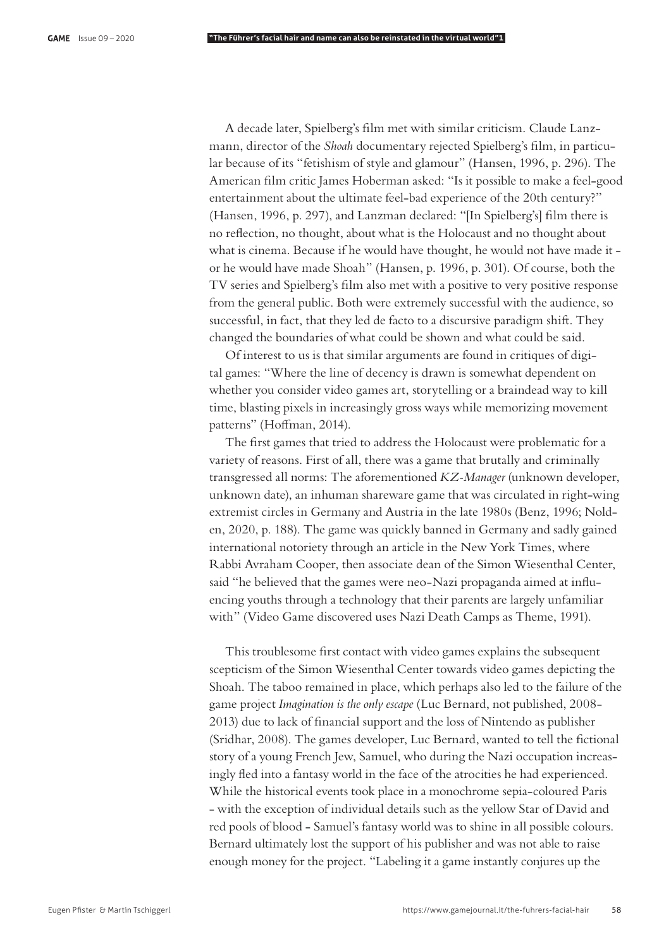A decade later, Spielberg's film met with similar criticism. Claude Lanzmann, director of the *Shoah* documentary rejected Spielberg's film, in particular because of its "fetishism of style and glamour" (Hansen, 1996, p. 296). The American film critic James Hoberman asked: "Is it possible to make a feel-good entertainment about the ultimate feel-bad experience of the 20th century?" (Hansen, 1996, p. 297), and Lanzman declared: "[In Spielberg's] film there is no reflection, no thought, about what is the Holocaust and no thought about what is cinema. Because if he would have thought, he would not have made it or he would have made Shoah" (Hansen, p. 1996, p. 301). Of course, both the TV series and Spielberg's film also met with a positive to very positive response from the general public. Both were extremely successful with the audience, so successful, in fact, that they led de facto to a discursive paradigm shift. They changed the boundaries of what could be shown and what could be said.

Of interest to us is that similar arguments are found in critiques of digital games: "Where the line of decency is drawn is somewhat dependent on whether you consider video games art, storytelling or a braindead way to kill time, blasting pixels in increasingly gross ways while memorizing movement patterns" (Hoffman, 2014).

The first games that tried to address the Holocaust were problematic for a variety of reasons. First of all, there was a game that brutally and criminally transgressed all norms: The aforementioned *KZ-Manager* (unknown developer, unknown date), an inhuman shareware game that was circulated in right-wing extremist circles in Germany and Austria in the late 1980s (Benz, 1996; Nolden, 2020, p. 188). The game was quickly banned in Germany and sadly gained international notoriety through an article in the New York Times, where Rabbi Avraham Cooper, then associate dean of the Simon Wiesenthal Center, said "he believed that the games were neo-Nazi propaganda aimed at influencing youths through a technology that their parents are largely unfamiliar with" (Video Game discovered uses Nazi Death Camps as Theme, 1991).

This troublesome first contact with video games explains the subsequent scepticism of the Simon Wiesenthal Center towards video games depicting the Shoah. The taboo remained in place, which perhaps also led to the failure of the game project *Imagination is the only escape* (Luc Bernard, not published, 2008- 2013) due to lack of financial support and the loss of Nintendo as publisher (Sridhar, 2008). The games developer, Luc Bernard, wanted to tell the fictional story of a young French Jew, Samuel, who during the Nazi occupation increasingly #ed into a fantasy world in the face of the atrocities he had experienced. While the historical events took place in a monochrome sepia-coloured Paris - with the exception of individual details such as the yellow Star of David and red pools of blood - Samuel's fantasy world was to shine in all possible colours. Bernard ultimately lost the support of his publisher and was not able to raise enough money for the project. "Labeling it a game instantly conjures up the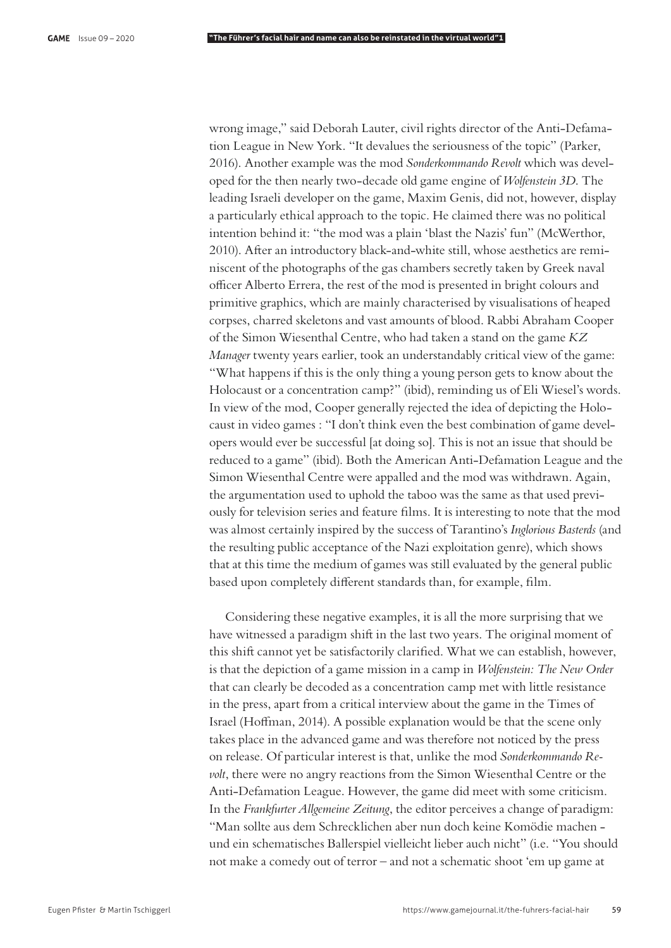wrong image," said Deborah Lauter, civil rights director of the Anti-Defamation League in New York. "It devalues the seriousness of the topic" (Parker, 2016). Another example was the mod *Sonderkommando Revolt* which was developed for the then nearly two-decade old game engine of *Wolfenstein 3D*. The leading Israeli developer on the game, Maxim Genis, did not, however, display a particularly ethical approach to the topic. He claimed there was no political intention behind it: "the mod was a plain 'blast the Nazis' fun" (McWerthor, 2010). After an introductory black-and-white still, whose aesthetics are reminiscent of the photographs of the gas chambers secretly taken by Greek naval officer Alberto Errera, the rest of the mod is presented in bright colours and primitive graphics, which are mainly characterised by visualisations of heaped corpses, charred skeletons and vast amounts of blood. Rabbi Abraham Cooper of the Simon Wiesenthal Centre, who had taken a stand on the game *KZ Manager* twenty years earlier, took an understandably critical view of the game: "What happens if this is the only thing a young person gets to know about the Holocaust or a concentration camp?" (ibid), reminding us of Eli Wiesel's words. In view of the mod, Cooper generally rejected the idea of depicting the Holocaust in video games : "I don't think even the best combination of game developers would ever be successful [at doing so]. This is not an issue that should be reduced to a game" (ibid). Both the American Anti-Defamation League and the Simon Wiesenthal Centre were appalled and the mod was withdrawn. Again, the argumentation used to uphold the taboo was the same as that used previously for television series and feature films. It is interesting to note that the mod was almost certainly inspired by the success of Tarantino's *Inglorious Basterds* (and the resulting public acceptance of the Nazi exploitation genre), which shows that at this time the medium of games was still evaluated by the general public based upon completely different standards than, for example, film.

Considering these negative examples, it is all the more surprising that we have witnessed a paradigm shift in the last two years. The original moment of this shift cannot yet be satisfactorily clarified. What we can establish, however, is that the depiction of a game mission in a camp in *Wolfenstein: The New Order* that can clearly be decoded as a concentration camp met with little resistance in the press, apart from a critical interview about the game in the Times of Israel (Hoffman, 2014). A possible explanation would be that the scene only takes place in the advanced game and was therefore not noticed by the press on release. Of particular interest is that, unlike the mod *Sonderkommando Revolt*, there were no angry reactions from the Simon Wiesenthal Centre or the Anti-Defamation League. However, the game did meet with some criticism. In the *Frankfurter Allgemeine Zeitung*, the editor perceives a change of paradigm: "Man sollte aus dem Schrecklichen aber nun doch keine Komödie machen und ein schematisches Ballerspiel vielleicht lieber auch nicht" (i.e. "You should not make a comedy out of terror – and not a schematic shoot 'em up game at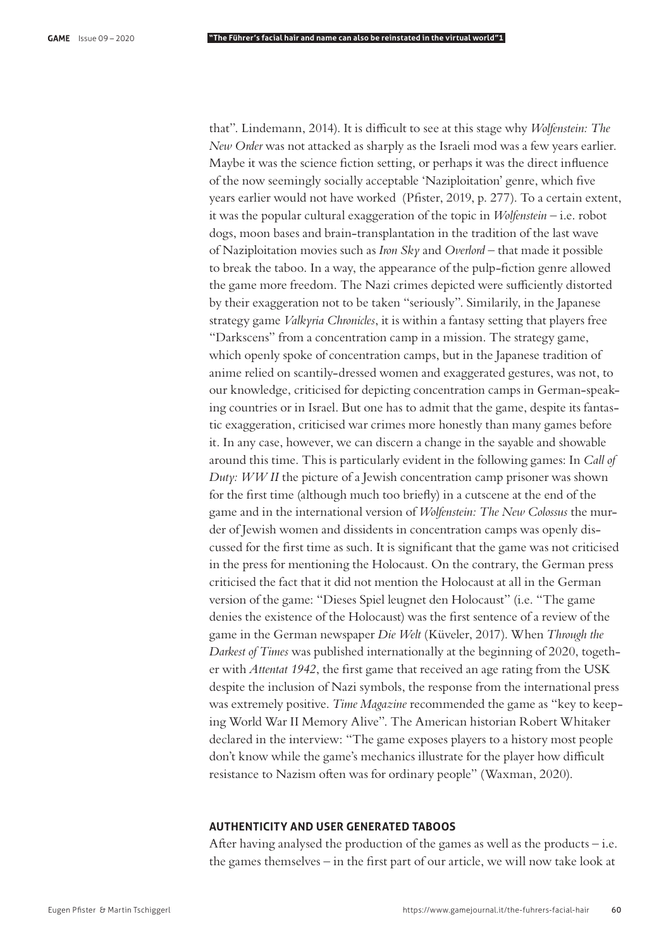that". Lindemann, 2014). It is difficult to see at this stage why *Wolfenstein: The New Order* was not attacked as sharply as the Israeli mod was a few years earlier. Maybe it was the science fiction setting, or perhaps it was the direct influence of the now seemingly socially acceptable 'Naziploitation' genre, which five years earlier would not have worked (Pfister, 2019, p. 277). To a certain extent, it was the popular cultural exaggeration of the topic in *Wolfenstein* – i.e. robot dogs, moon bases and brain-transplantation in the tradition of the last wave of Naziploitation movies such as *Iron Sky* and *Overlord* – that made it possible to break the taboo. In a way, the appearance of the pulp-fiction genre allowed the game more freedom. The Nazi crimes depicted were sufficiently distorted by their exaggeration not to be taken "seriously". Similarily, in the Japanese strategy game *Valkyria Chronicles*, it is within a fantasy setting that players free "Darkscens" from a concentration camp in a mission. The strategy game, which openly spoke of concentration camps, but in the Japanese tradition of anime relied on scantily-dressed women and exaggerated gestures, was not, to our knowledge, criticised for depicting concentration camps in German-speaking countries or in Israel. But one has to admit that the game, despite its fantastic exaggeration, criticised war crimes more honestly than many games before it. In any case, however, we can discern a change in the sayable and showable around this time. This is particularly evident in the following games: In *Call of Duty: WW II* the picture of a Jewish concentration camp prisoner was shown for the first time (although much too briefly) in a cutscene at the end of the game and in the international version of *Wolfenstein: The New Colossus* the murder of Jewish women and dissidents in concentration camps was openly discussed for the first time as such. It is significant that the game was not criticised in the press for mentioning the Holocaust. On the contrary, the German press criticised the fact that it did not mention the Holocaust at all in the German version of the game: "Dieses Spiel leugnet den Holocaust" (i.e. "The game denies the existence of the Holocaust) was the first sentence of a review of the game in the German newspaper *Die Welt* (Küveler, 2017). When *Through the Darkest of Times* was published internationally at the beginning of 2020, together with *Attentat 1942*, the first game that received an age rating from the USK despite the inclusion of Nazi symbols, the response from the international press was extremely positive. *Time Magazine* recommended the game as "key to keeping World War II Memory Alive". The American historian Robert Whitaker declared in the interview: "The game exposes players to a history most people don't know while the game's mechanics illustrate for the player how difficult resistance to Nazism often was for ordinary people" (Waxman, 2020).

# **AUTHENTICITY AND USER GENERATED TABOOS**

After having analysed the production of the games as well as the products  $-i.e.$ the games themselves  $-$  in the first part of our article, we will now take look at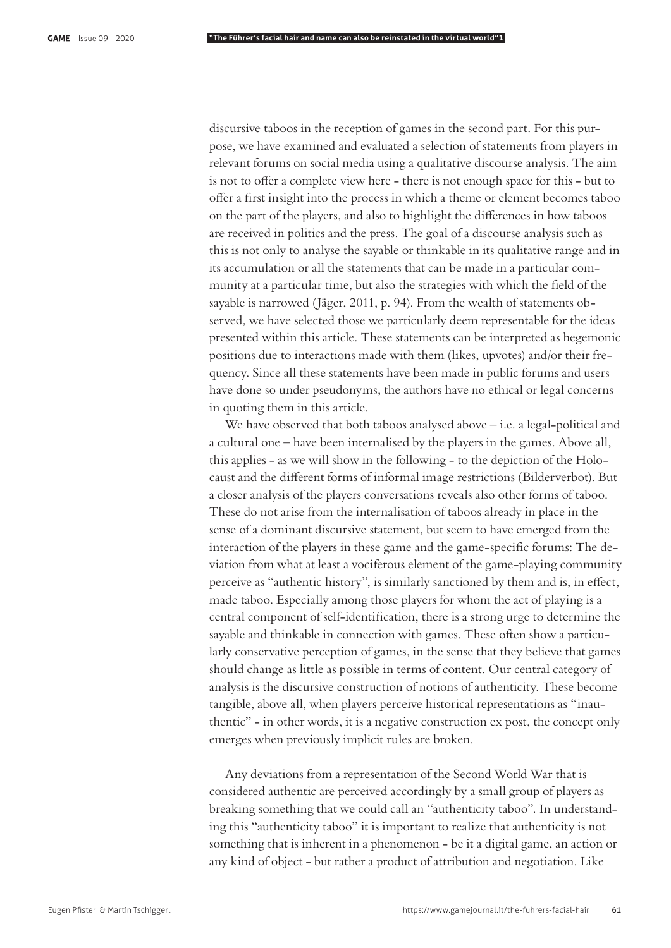discursive taboos in the reception of games in the second part. For this purpose, we have examined and evaluated a selection of statements from players in relevant forums on social media using a qualitative discourse analysis. The aim is not to offer a complete view here - there is not enough space for this - but to offer a first insight into the process in which a theme or element becomes taboo on the part of the players, and also to highlight the differences in how taboos are received in politics and the press. The goal of a discourse analysis such as this is not only to analyse the sayable or thinkable in its qualitative range and in its accumulation or all the statements that can be made in a particular community at a particular time, but also the strategies with which the field of the sayable is narrowed (Jäger, 2011, p. 94). From the wealth of statements observed, we have selected those we particularly deem representable for the ideas presented within this article. These statements can be interpreted as hegemonic positions due to interactions made with them (likes, upvotes) and/or their frequency. Since all these statements have been made in public forums and users have done so under pseudonyms, the authors have no ethical or legal concerns in quoting them in this article.

We have observed that both taboos analysed above  $-$  i.e. a legal-political and a cultural one – have been internalised by the players in the games. Above all, this applies - as we will show in the following - to the depiction of the Holocaust and the different forms of informal image restrictions (Bilderverbot). But a closer analysis of the players conversations reveals also other forms of taboo. These do not arise from the internalisation of taboos already in place in the sense of a dominant discursive statement, but seem to have emerged from the interaction of the players in these game and the game-specific forums: The deviation from what at least a vociferous element of the game-playing community perceive as "authentic history", is similarly sanctioned by them and is, in effect, made taboo. Especially among those players for whom the act of playing is a central component of self-identification, there is a strong urge to determine the sayable and thinkable in connection with games. These often show a particularly conservative perception of games, in the sense that they believe that games should change as little as possible in terms of content. Our central category of analysis is the discursive construction of notions of authenticity. These become tangible, above all, when players perceive historical representations as "inauthentic" - in other words, it is a negative construction ex post, the concept only emerges when previously implicit rules are broken.

Any deviations from a representation of the Second World War that is considered authentic are perceived accordingly by a small group of players as breaking something that we could call an "authenticity taboo". In understanding this "authenticity taboo" it is important to realize that authenticity is not something that is inherent in a phenomenon - be it a digital game, an action or any kind of object - but rather a product of attribution and negotiation. Like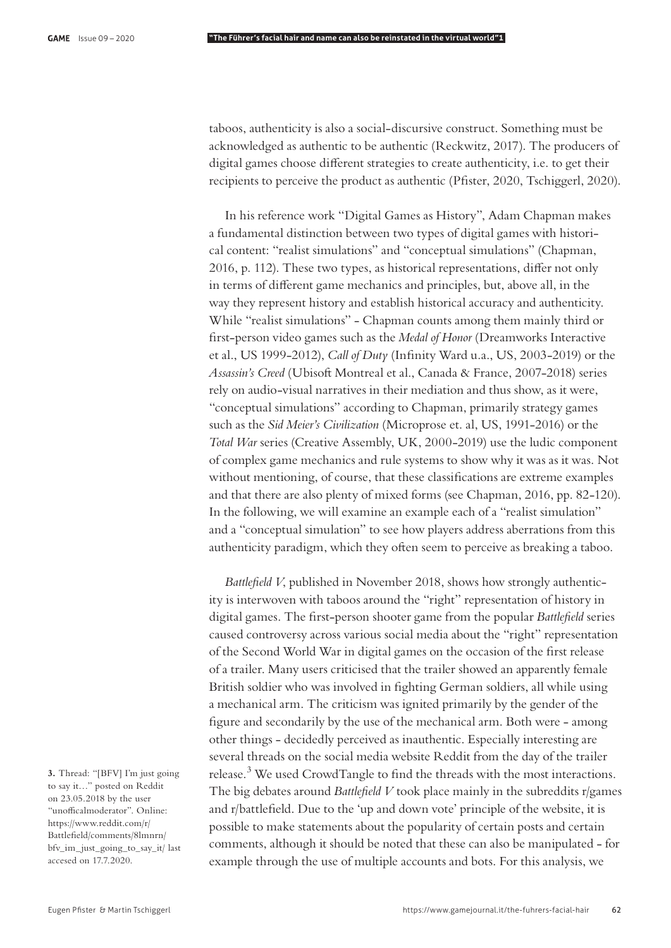taboos, authenticity is also a social-discursive construct. Something must be acknowledged as authentic to be authentic (Reckwitz, 2017). The producers of digital games choose different strategies to create authenticity, i.e. to get their recipients to perceive the product as authentic (Pfister, 2020, Tschiggerl, 2020).

In his reference work "Digital Games as History", Adam Chapman makes a fundamental distinction between two types of digital games with historical content: "realist simulations" and "conceptual simulations" (Chapman, 2016, p. 112). These two types, as historical representations, differ not only in terms of different game mechanics and principles, but, above all, in the way they represent history and establish historical accuracy and authenticity. While "realist simulations" - Chapman counts among them mainly third or first-person video games such as the *Medal of Honor* (Dreamworks Interactive et al., US 1999-2012), *Call of Duty* (Infinity Ward u.a., US, 2003-2019) or the Assassin's Creed (Ubisoft Montreal et al., Canada & France, 2007-2018) series rely on audio-visual narratives in their mediation and thus show, as it were, "conceptual simulations" according to Chapman, primarily strategy games such as the *Sid Meier's Civilization* (Microprose et. al, US, 1991-2016) or the *Total War* series (Creative Assembly, UK, 2000-2019) use the ludic component of complex game mechanics and rule systems to show why it was as it was. Not without mentioning, of course, that these classifications are extreme examples and that there are also plenty of mixed forms (see Chapman, 2016, pp. 82-120). In the following, we will examine an example each of a "realist simulation" and a "conceptual simulation" to see how players address aberrations from this authenticity paradigm, which they often seem to perceive as breaking a taboo.

*Battlefield V*, published in November 2018, shows how strongly authenticity is interwoven with taboos around the "right" representation of history in digital games. The first-person shooter game from the popular *Battlefield* series caused controversy across various social media about the "right" representation of the Second World War in digital games on the occasion of the first release of a trailer. Many users criticised that the trailer showed an apparently female British soldier who was involved in fighting German soldiers, all while using a mechanical arm. The criticism was ignited primarily by the gender of the figure and secondarily by the use of the mechanical arm. Both were - among other things - decidedly perceived as inauthentic. Especially interesting are several threads on the social media website Reddit from the day of the trailer release.<sup>3</sup> We used CrowdTangle to find the threads with the most interactions. The big debates around *Battlefield V* took place mainly in the subreddits r/games and r/battlefield. Due to the 'up and down vote' principle of the website, it is possible to make statements about the popularity of certain posts and certain comments, although it should be noted that these can also be manipulated - for example through the use of multiple accounts and bots. For this analysis, we

**3.** Thread: "[BFV] I'm just going to say it…" posted on Reddit on 23.05.2018 by the user "unofficalmoderator". Online: https://www.reddit.com/r/ Battlefield/comments/8lmnrn/ bfv\_im\_just\_going\_to\_say\_it/ last accesed on 17.7.2020.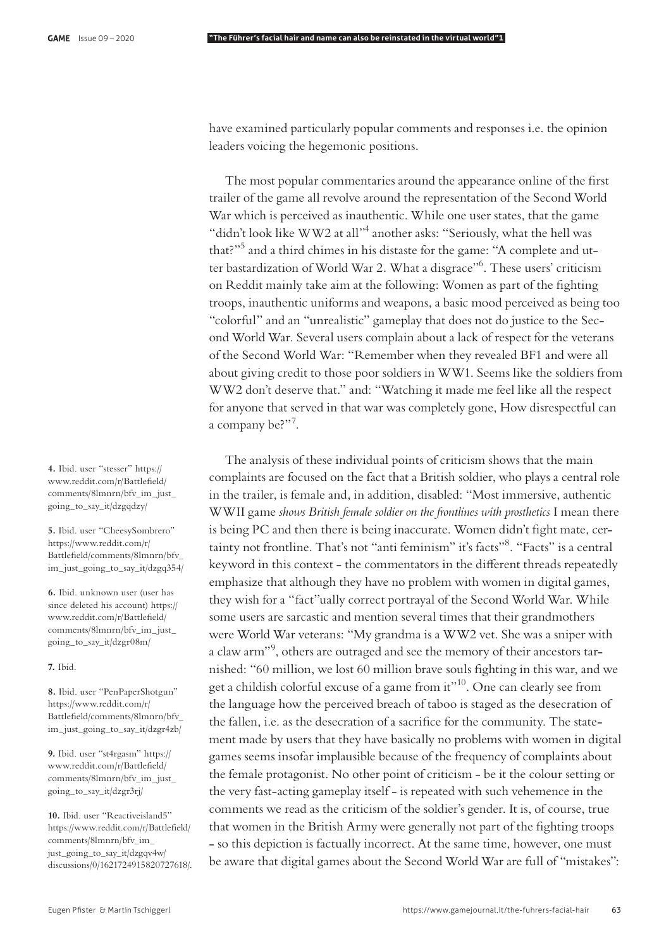have examined particularly popular comments and responses i.e. the opinion leaders voicing the hegemonic positions.

The most popular commentaries around the appearance online of the first trailer of the game all revolve around the representation of the Second World War which is perceived as inauthentic. While one user states, that the game "didn't look like WW2 at all"<sup>4</sup> another asks: "Seriously, what the hell was that?"<sup>5</sup> and a third chimes in his distaste for the game: "A complete and utter bastardization of World War 2. What a disgrace"6 . These users' criticism on Reddit mainly take aim at the following: Women as part of the fighting troops, inauthentic uniforms and weapons, a basic mood perceived as being too "colorful" and an "unrealistic" gameplay that does not do justice to the Second World War. Several users complain about a lack of respect for the veterans of the Second World War: "Remember when they revealed BF1 and were all about giving credit to those poor soldiers in WW1. Seems like the soldiers from WW2 don't deserve that." and: "Watching it made me feel like all the respect for anyone that served in that war was completely gone, How disrespectful can a company be?"<sup>7</sup>.

The analysis of these individual points of criticism shows that the main complaints are focused on the fact that a British soldier, who plays a central role in the trailer, is female and, in addition, disabled: "Most immersive, authentic WWII game *shows British female soldier on the frontlines with prosthetics* I mean there is being PC and then there is being inaccurate. Women didn't fight mate, certainty not frontline. That's not "anti feminism" it's facts"8. "Facts" is a central keyword in this context - the commentators in the different threads repeatedly emphasize that although they have no problem with women in digital games, they wish for a "fact"ually correct portrayal of the Second World War. While some users are sarcastic and mention several times that their grandmothers were World War veterans: "My grandma is a WW2 vet. She was a sniper with a claw arm"<sup>9</sup> , others are outraged and see the memory of their ancestors tarnished: "60 million, we lost 60 million brave souls fighting in this war, and we get a childish colorful excuse of a game from it"10. One can clearly see from the language how the perceived breach of taboo is staged as the desecration of the fallen, i.e. as the desecration of a sacrifice for the community. The statement made by users that they have basically no problems with women in digital games seems insofar implausible because of the frequency of complaints about the female protagonist. No other point of criticism - be it the colour setting or the very fast-acting gameplay itself - is repeated with such vehemence in the comments we read as the criticism of the soldier's gender. It is, of course, true that women in the British Army were generally not part of the fighting troops - so this depiction is factually incorrect. At the same time, however, one must be aware that digital games about the Second World War are full of "mistakes":

**4.** Ibid. user "stesser" https:// www.reddit.com/r/Battlefield/ comments/8lmnrn/bfv\_im\_just\_ going\_to\_say\_it/dzgqdzy/

**5.** Ibid. user "CheesySombrero" https://www.reddit.com/r/ Battlefield/comments/8lmnrn/bfv\_ im\_just\_going\_to\_say\_it/dzgq354/

**6.** Ibid. unknown user (user has since deleted his account) https:// www.reddit.com/r/Battlefield/ comments/8lmnrn/bfv\_im\_just\_ going\_to\_say\_it/dzgr08m/

**7.** Ibid.

**8.** Ibid. user "PenPaperShotgun" https://www.reddit.com/r/ Battlefield/comments/8lmnrn/bfv im\_just\_going\_to\_say\_it/dzgr4zb/

**9.** Ibid. user "st4rgasm" https:// www.reddit.com/r/Battlefield/ comments/8lmnrn/bfv\_im\_just\_ going\_to\_say\_it/dzgr3rj/

**10.** Ibid. user "Reactiveisland5" https://www.reddit.com/r/Battlefield/ comments/8lmnrn/bfv\_im\_ just\_going\_to\_say\_it/dzgqv4w/ discussions/0/1621724915820727618/.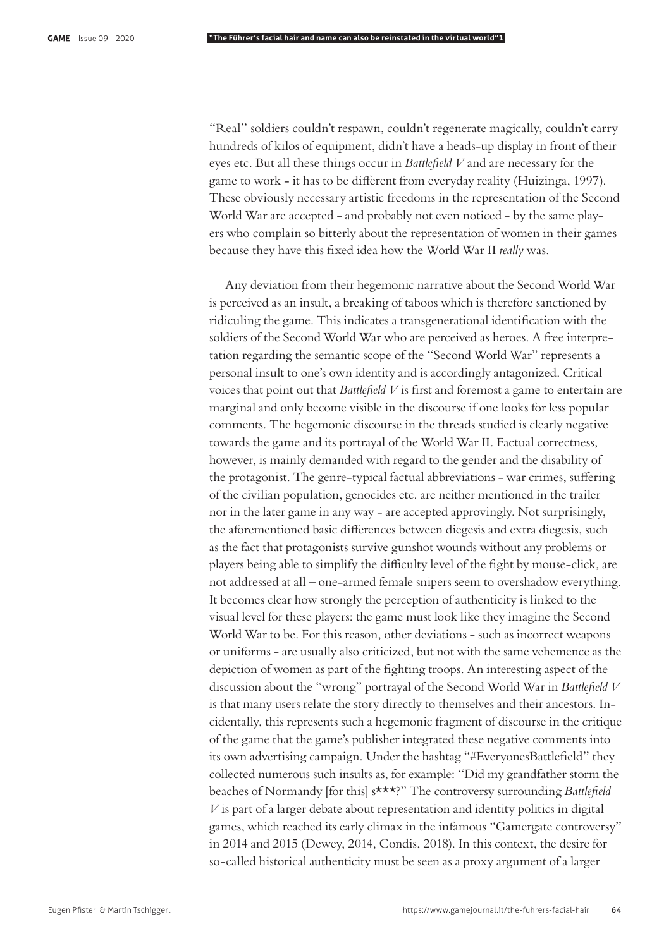"Real" soldiers couldn't respawn, couldn't regenerate magically, couldn't carry hundreds of kilos of equipment, didn't have a heads-up display in front of their eyes etc. But all these things occur in *Battlefield V* and are necessary for the game to work - it has to be different from everyday reality (Huizinga, 1997). These obviously necessary artistic freedoms in the representation of the Second World War are accepted - and probably not even noticed - by the same players who complain so bitterly about the representation of women in their games because they have this "xed idea how the World War II *really* was.

Any deviation from their hegemonic narrative about the Second World War is perceived as an insult, a breaking of taboos which is therefore sanctioned by ridiculing the game. This indicates a transgenerational identification with the soldiers of the Second World War who are perceived as heroes. A free interpretation regarding the semantic scope of the "Second World War" represents a personal insult to one's own identity and is accordingly antagonized. Critical voices that point out that *Battlefield V* is first and foremost a game to entertain are marginal and only become visible in the discourse if one looks for less popular comments. The hegemonic discourse in the threads studied is clearly negative towards the game and its portrayal of the World War II. Factual correctness, however, is mainly demanded with regard to the gender and the disability of the protagonist. The genre-typical factual abbreviations - war crimes, suffering of the civilian population, genocides etc. are neither mentioned in the trailer nor in the later game in any way - are accepted approvingly. Not surprisingly, the aforementioned basic differences between diegesis and extra diegesis, such as the fact that protagonists survive gunshot wounds without any problems or players being able to simplify the difficulty level of the fight by mouse-click, are not addressed at all – one-armed female snipers seem to overshadow everything. It becomes clear how strongly the perception of authenticity is linked to the visual level for these players: the game must look like they imagine the Second World War to be. For this reason, other deviations - such as incorrect weapons or uniforms - are usually also criticized, but not with the same vehemence as the depiction of women as part of the fighting troops. An interesting aspect of the discussion about the "wrong" portrayal of the Second World War in *Battle!eld V* is that many users relate the story directly to themselves and their ancestors. Incidentally, this represents such a hegemonic fragment of discourse in the critique of the game that the game's publisher integrated these negative comments into its own advertising campaign. Under the hashtag "#EveryonesBattlefield" they collected numerous such insults as, for example: "Did my grandfather storm the beaches of Normandy [for this] s\*\*\*?" The controversy surrounding *Battle!eld V* is part of a larger debate about representation and identity politics in digital games, which reached its early climax in the infamous "Gamergate controversy" in 2014 and 2015 (Dewey, 2014, Condis, 2018). In this context, the desire for so-called historical authenticity must be seen as a proxy argument of a larger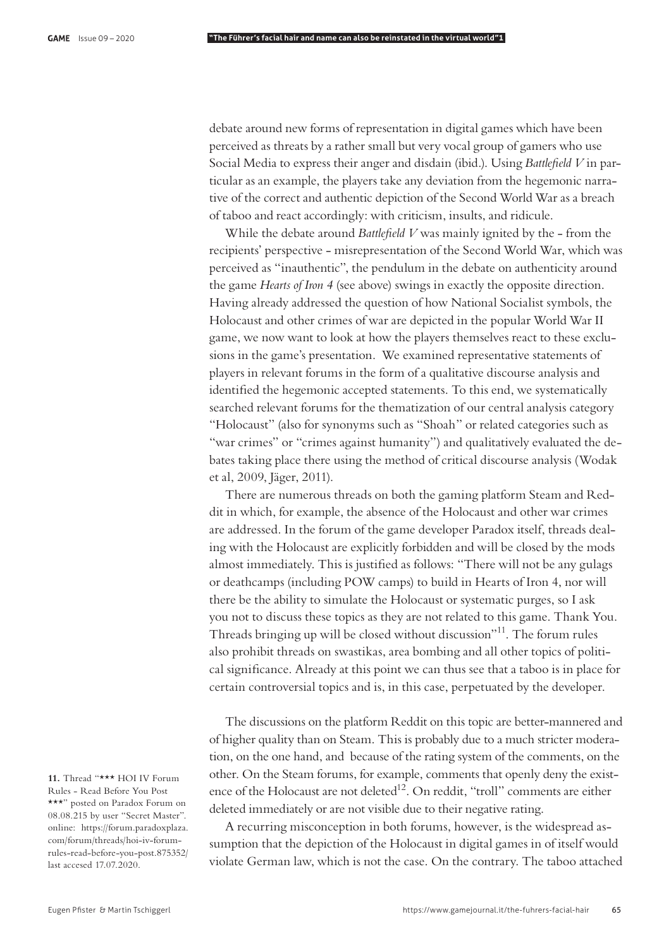debate around new forms of representation in digital games which have been perceived as threats by a rather small but very vocal group of gamers who use Social Media to express their anger and disdain (ibid.). Using *Battlefield V* in particular as an example, the players take any deviation from the hegemonic narrative of the correct and authentic depiction of the Second World War as a breach of taboo and react accordingly: with criticism, insults, and ridicule.

While the debate around *Battlefield V* was mainly ignited by the - from the recipients' perspective - misrepresentation of the Second World War, which was perceived as "inauthentic", the pendulum in the debate on authenticity around the game *Hearts of Iron 4* (see above) swings in exactly the opposite direction. Having already addressed the question of how National Socialist symbols, the Holocaust and other crimes of war are depicted in the popular World War II game, we now want to look at how the players themselves react to these exclusions in the game's presentation. We examined representative statements of players in relevant forums in the form of a qualitative discourse analysis and identified the hegemonic accepted statements. To this end, we systematically searched relevant forums for the thematization of our central analysis category "Holocaust" (also for synonyms such as "Shoah" or related categories such as "war crimes" or "crimes against humanity") and qualitatively evaluated the debates taking place there using the method of critical discourse analysis (Wodak et al, 2009, Jäger, 2011).

There are numerous threads on both the gaming platform Steam and Reddit in which, for example, the absence of the Holocaust and other war crimes are addressed. In the forum of the game developer Paradox itself, threads dealing with the Holocaust are explicitly forbidden and will be closed by the mods almost immediately. This is justified as follows: "There will not be any gulags or deathcamps (including POW camps) to build in Hearts of Iron 4, nor will there be the ability to simulate the Holocaust or systematic purges, so I ask you not to discuss these topics as they are not related to this game. Thank You. Threads bringing up will be closed without discussion"<sup>11</sup>. The forum rules also prohibit threads on swastikas, area bombing and all other topics of political significance. Already at this point we can thus see that a taboo is in place for certain controversial topics and is, in this case, perpetuated by the developer.

The discussions on the platform Reddit on this topic are better-mannered and of higher quality than on Steam. This is probably due to a much stricter moderation, on the one hand, and because of the rating system of the comments, on the other. On the Steam forums, for example, comments that openly deny the existence of the Holocaust are not deleted $^{12}$ . On reddit, "troll" comments are either deleted immediately or are not visible due to their negative rating.

A recurring misconception in both forums, however, is the widespread assumption that the depiction of the Holocaust in digital games in of itself would violate German law, which is not the case. On the contrary. The taboo attached

11. Thread "\*\*\* HOI IV Forum Rules - Read Before You Post \*\*\*" posted on Paradox Forum on 08.08.215 by user "Secret Master". online: https://forum.paradoxplaza. com/forum/threads/hoi-iv-forumrules-read-before-you-post.875352/ last accesed 17.07.2020.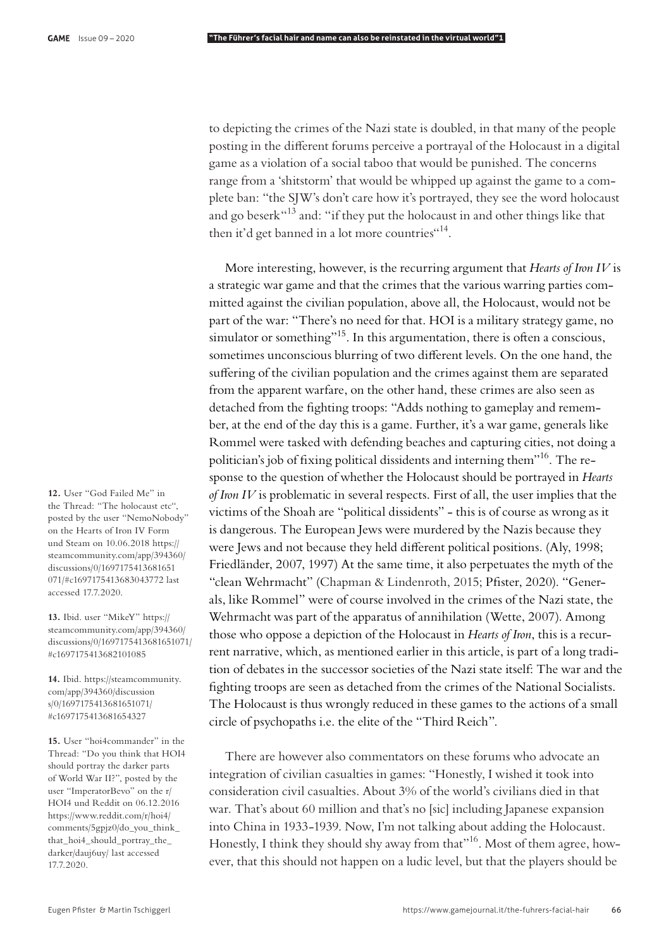to depicting the crimes of the Nazi state is doubled, in that many of the people posting in the different forums perceive a portrayal of the Holocaust in a digital game as a violation of a social taboo that would be punished. The concerns range from a 'shitstorm' that would be whipped up against the game to a complete ban: "the SJW's don't care how it's portrayed, they see the word holocaust and go beserk<sup>"13</sup> and: "if they put the holocaust in and other things like that then it'd get banned in a lot more countries"<sup>14</sup>.

More interesting, however, is the recurring argument that *Hearts of Iron IV* is a strategic war game and that the crimes that the various warring parties committed against the civilian population, above all, the Holocaust, would not be part of the war: "There's no need for that. HOI is a military strategy game, no simulator or something"<sup>15</sup>. In this argumentation, there is often a conscious, sometimes unconscious blurring of two different levels. On the one hand, the suffering of the civilian population and the crimes against them are separated from the apparent warfare, on the other hand, these crimes are also seen as detached from the fighting troops: "Adds nothing to gameplay and remember, at the end of the day this is a game. Further, it's a war game, generals like Rommel were tasked with defending beaches and capturing cities, not doing a politician's job of fixing political dissidents and interning them"<sup>16</sup>. The response to the question of whether the Holocaust should be portrayed in *Hearts of Iron IV* is problematic in several respects. First of all, the user implies that the victims of the Shoah are "political dissidents" - this is of course as wrong as it is dangerous. The European Jews were murdered by the Nazis because they were Jews and not because they held different political positions. (Aly, 1998; Friedländer, 2007, 1997) At the same time, it also perpetuates the myth of the "clean Wehrmacht" (Chapman & Lindenroth, 2015; Pfister, 2020). "Generals, like Rommel" were of course involved in the crimes of the Nazi state, the Wehrmacht was part of the apparatus of annihilation (Wette, 2007). Among those who oppose a depiction of the Holocaust in *Hearts of Iron*, this is a recurrent narrative, which, as mentioned earlier in this article, is part of a long tradition of debates in the successor societies of the Nazi state itself: The war and the fighting troops are seen as detached from the crimes of the National Socialists. The Holocaust is thus wrongly reduced in these games to the actions of a small circle of psychopaths i.e. the elite of the "Third Reich".

There are however also commentators on these forums who advocate an integration of civilian casualties in games: "Honestly, I wished it took into consideration civil casualties. About 3% of the world's civilians died in that war. That's about 60 million and that's no [sic] including Japanese expansion into China in 1933-1939. Now, I'm not talking about adding the Holocaust. Honestly, I think they should shy away from that"<sup>16</sup>. Most of them agree, however, that this should not happen on a ludic level, but that the players should be

**12.** User "God Failed Me" in the Thread: "The holocaust etc", posted by the user "NemoNobody" on the Hearts of Iron IV Form und Steam on 10.06.2018 https:// steamcommunity.com/app/394360/ discussions/0/1697175413681651 071/#c1697175413683043772 last accessed 17.7.2020.

**13.** Ibid. user "MikeY" https:// steamcommunity.com/app/394360/ discussions/0/1697175413681651071/ #c1697175413682101085

**14.** Ibid. https://steamcommunity. com/app/394360/discussion s/0/1697175413681651071/ #c1697175413681654327

**15.** User "hoi4commander" in the Thread: "Do you think that HOI4 should portray the darker parts of World War II?", posted by the user "ImperatorBevo" on the r/ HOI4 und Reddit on 06.12.2016 https://www.reddit.com/r/hoi4/ comments/5gpjz0/do\_you\_think\_ that\_hoi4\_should\_portray\_the\_ darker/dauj6uy/ last accessed 17.7.2020.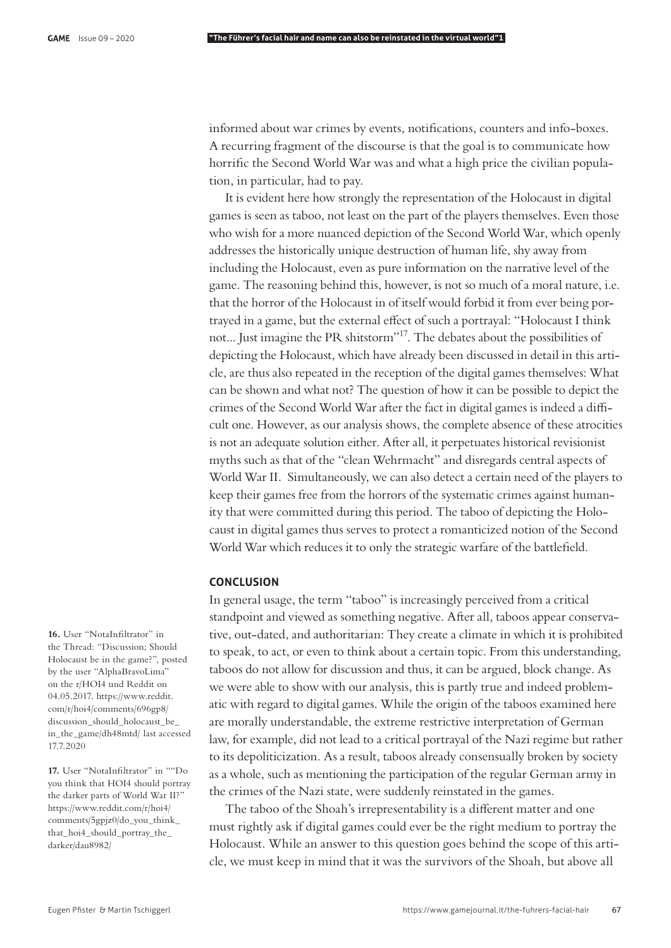informed about war crimes by events, notifications, counters and info-boxes. A recurring fragment of the discourse is that the goal is to communicate how horrific the Second World War was and what a high price the civilian population, in particular, had to pay.

It is evident here how strongly the representation of the Holocaust in digital games is seen as taboo, not least on the part of the players themselves. Even those who wish for a more nuanced depiction of the Second World War, which openly addresses the historically unique destruction of human life, shy away from including the Holocaust, even as pure information on the narrative level of the game. The reasoning behind this, however, is not so much of a moral nature, i.e. that the horror of the Holocaust in of itself would forbid it from ever being portrayed in a game, but the external effect of such a portrayal: "Holocaust I think not... Just imagine the PR shitstorm"17. The debates about the possibilities of depicting the Holocaust, which have already been discussed in detail in this article, are thus also repeated in the reception of the digital games themselves: What can be shown and what not? The question of how it can be possible to depict the crimes of the Second World War after the fact in digital games is indeed a difficult one. However, as our analysis shows, the complete absence of these atrocities is not an adequate solution either. After all, it perpetuates historical revisionist myths such as that of the "clean Wehrmacht" and disregards central aspects of World War II. Simultaneously, we can also detect a certain need of the players to keep their games free from the horrors of the systematic crimes against humanity that were committed during this period. The taboo of depicting the Holocaust in digital games thus serves to protect a romanticized notion of the Second World War which reduces it to only the strategic warfare of the battlefield.

### **CONCLUSION**

In general usage, the term "taboo" is increasingly perceived from a critical standpoint and viewed as something negative. After all, taboos appear conservative, out-dated, and authoritarian: They create a climate in which it is prohibited to speak, to act, or even to think about a certain topic. From this understanding, taboos do not allow for discussion and thus, it can be argued, block change. As we were able to show with our analysis, this is partly true and indeed problematic with regard to digital games. While the origin of the taboos examined here are morally understandable, the extreme restrictive interpretation of German law, for example, did not lead to a critical portrayal of the Nazi regime but rather to its depoliticization. As a result, taboos already consensually broken by society as a whole, such as mentioning the participation of the regular German army in the crimes of the Nazi state, were suddenly reinstated in the games.

The taboo of the Shoah's irrepresentability is a different matter and one must rightly ask if digital games could ever be the right medium to portray the Holocaust. While an answer to this question goes behind the scope of this article, we must keep in mind that it was the survivors of the Shoah, but above all

16. User "NotaInfiltrator" in the Thread: "Discussion; Should Holocaust be in the game?", posted by the user "AlphaBravoLima" on the r/HOI4 und Reddit on 04.05.2017. https://www.reddit. com/r/hoi4/comments/696gp8/ discussion\_should\_holocaust\_be\_ in\_the\_game/dh48mtd/ last accessed 17.7.2020

17. User "NotaInfiltrator" in ""Do you think that HOI4 should portray the darker parts of World War II?" https://www.reddit.com/r/hoi4/ comments/5gpjz0/do\_you\_think\_ that\_hoi4\_should\_portray\_the\_ darker/dau8982/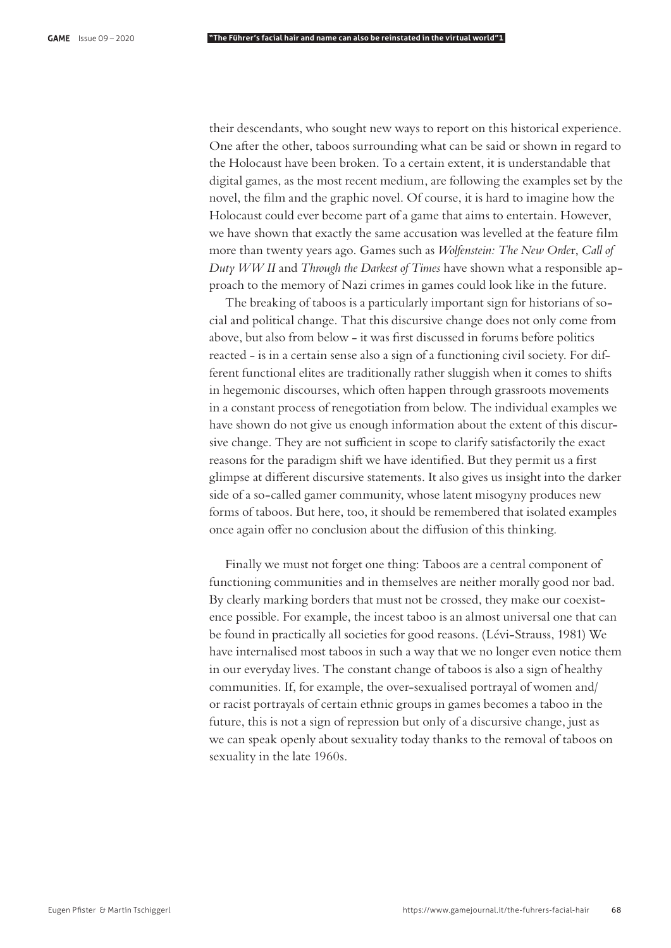their descendants, who sought new ways to report on this historical experience. One after the other, taboos surrounding what can be said or shown in regard to the Holocaust have been broken. To a certain extent, it is understandable that digital games, as the most recent medium, are following the examples set by the novel, the film and the graphic novel. Of course, it is hard to imagine how the Holocaust could ever become part of a game that aims to entertain. However, we have shown that exactly the same accusation was levelled at the feature film more than twenty years ago. Games such as *Wolfenstein: The New Orde*r, *Call of Duty WW II* and *Through the Darkest of Times* have shown what a responsible approach to the memory of Nazi crimes in games could look like in the future.

The breaking of taboos is a particularly important sign for historians of social and political change. That this discursive change does not only come from above, but also from below - it was first discussed in forums before politics reacted - is in a certain sense also a sign of a functioning civil society. For different functional elites are traditionally rather sluggish when it comes to shifts in hegemonic discourses, which often happen through grassroots movements in a constant process of renegotiation from below. The individual examples we have shown do not give us enough information about the extent of this discursive change. They are not sufficient in scope to clarify satisfactorily the exact reasons for the paradigm shift we have identified. But they permit us a first glimpse at different discursive statements. It also gives us insight into the darker side of a so-called gamer community, whose latent misogyny produces new forms of taboos. But here, too, it should be remembered that isolated examples once again offer no conclusion about the diffusion of this thinking.

Finally we must not forget one thing: Taboos are a central component of functioning communities and in themselves are neither morally good nor bad. By clearly marking borders that must not be crossed, they make our coexistence possible. For example, the incest taboo is an almost universal one that can be found in practically all societies for good reasons. (Lévi-Strauss, 1981) We have internalised most taboos in such a way that we no longer even notice them in our everyday lives. The constant change of taboos is also a sign of healthy communities. If, for example, the over-sexualised portrayal of women and/ or racist portrayals of certain ethnic groups in games becomes a taboo in the future, this is not a sign of repression but only of a discursive change, just as we can speak openly about sexuality today thanks to the removal of taboos on sexuality in the late 1960s.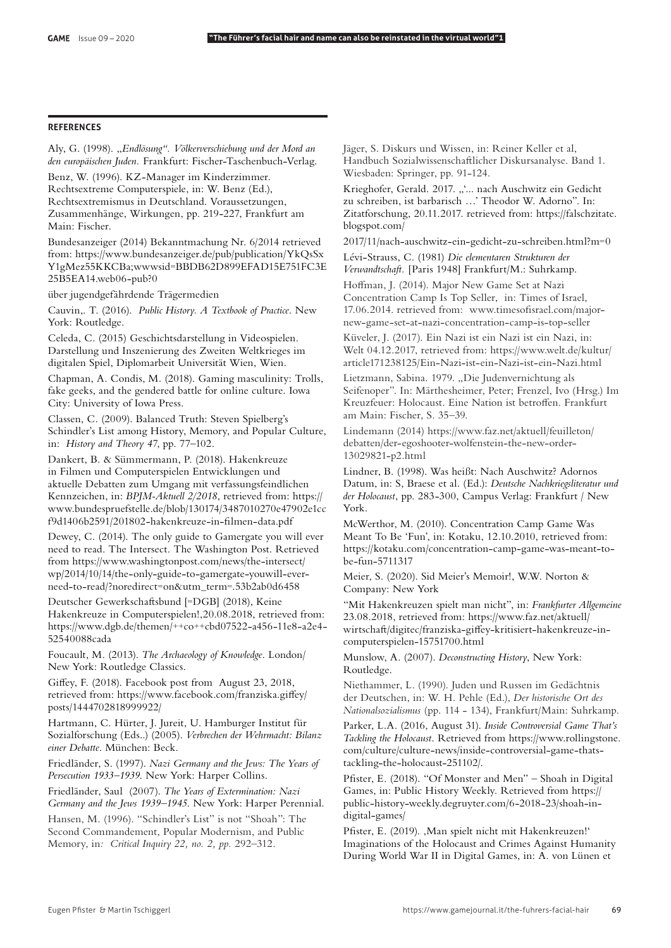#### **REFERENCES**

Aly, G. (1998). "*Endlösung". Völkerverschiebung und der Mord an den europäischen Juden.* Frankfurt: Fischer-Taschenbuch-Verlag.

Benz, W. (1996). KZ-Manager im Kinderzimmer. Rechtsextreme Computerspiele, in: W. Benz (Ed.), Rechtsextremismus in Deutschland. Voraussetzungen, Zusammenhänge, Wirkungen, pp. 219-227, Frankfurt am Main: Fischer.

Bundesanzeiger (2014) Bekanntmachung Nr. 6/2014 retrieved from: https://www.bundesanzeiger.de/pub/publication/YkQsSx Y1gMez55KKCBa;wwwsid=BBDB62D899EFAD15E751FC3E 25B5EA14.web06-pub?0

über jugendgefährdende Trägermedien

Cauvin,. T. (2016). *Public History. A Textbook of Practice*. New York: Routledge.

Celeda, C. (2015) Geschichtsdarstellung in Videospielen. Darstellung und Inszenierung des Zweiten Weltkrieges im digitalen Spiel, Diplomarbeit Universität Wien, Wien.

Chapman, A. Condis, M. (2018). Gaming masculinity: Trolls, fake geeks, and the gendered battle for online culture. Iowa City: University of Iowa Press.

Classen, C. (2009). Balanced Truth: Steven Spielberg's Schindler's List among History, Memory, and Popular Culture, in: *History and Theory 47*, pp. 77–102.

Dankert, B. & Sümmermann, P. (2018). Hakenkreuze in Filmen und Computerspielen Entwicklungen und aktuelle Debatten zum Umgang mit verfassungsfeindlichen Kennzeichen, in: *BPJM-Aktuell 2/2018*, retrieved from: https:// www.bundespruefstelle.de/blob/130174/3487010270e47902e1cc f9d1406b2591/201802-hakenkreuze-in-filmen-data.pdf

Dewey, C. (2014). The only guide to Gamergate you will ever need to read. The Intersect. The Washington Post. Retrieved from https://www.washingtonpost.com/news/the-intersect/ wp/2014/10/14/the-only-guide-to-gamergate-youwill-everneed-to-read/?noredirect=on&utm\_term=.53b2ab0d6458

Deutscher Gewerkschaftsbund [=DGB] (2018), Keine Hakenkreuze in Computerspielen!,20.08.2018, retrieved from: https://www.dgb.de/themen/++co++cbd07522-a456-11e8-a2e4- 52540088cada

Foucault, M. (2013). *The Archaeology of Knowledge*. London/ New York: Routledge Classics.

Giffey, F. (2018). Facebook post from August 23, 2018, retrieved from: https://www.facebook.com/franziska.giffey/ posts/1444702818999922/

Hartmann, C. Hürter, J. Jureit, U. Hamburger Institut für Sozialforschung (Eds..) (2005). *Verbrechen der Wehrmacht: Bilanz einer Debatte*. München: Beck.

Friedländer, S. (1997). *Nazi Germany and the Jews: The Years of Persecution 1933–1939*. New York: Harper Collins.

Friedländer, Saul (2007). *The Years of Extermination: Nazi Germany and the Jews 1939–1945*. New York: Harper Perennial.

Hansen, M. (1996). "Schindler's List" is not "Shoah": The Second Commandement, Popular Modernism, and Public Memory, in*: Critical Inquiry 22, no. 2, pp.* 292–312.

Jäger, S. Diskurs und Wissen, in: Reiner Keller et al, Handbuch Sozialwissenschaftlicher Diskursanalyse. Band 1. Wiesbaden: Springer, pp. 91-124.

Krieghofer, Gerald. 2017. "'... nach Auschwitz ein Gedicht zu schreiben, ist barbarisch …' Theodor W. Adorno". In: Zitatforschung, 20.11.2017. retrieved from: https://falschzitate. blogspot.com/

2017/11/nach-auschwitz-ein-gedicht-zu-schreiben.html?m=0

Lévi-Strauss, C. (1981) *Die elementaren Strukturen der Verwandtscha".* [Paris 1948] Frankfurt/M.: Suhrkamp.

Hoffman, J. (2014). Major New Game Set at Nazi Concentration Camp Is Top Seller, in: Times of Israel, 17.06.2014. retrieved from: www.timesofisrael.com/majornew-game-set-at-nazi-concentration-camp-is-top-seller

Küveler, J. (2017). Ein Nazi ist ein Nazi ist ein Nazi, in: Welt 04.12.2017, retrieved from: https://www.welt.de/kultur/ article171238125/Ein-Nazi-ist-ein-Nazi-ist-ein-Nazi.html

Lietzmann, Sabina. 1979. "Die Judenvernichtung als Seifenoper". In: Märthesheimer, Peter; Frenzel, Ivo (Hrsg.) Im Kreuzfeuer: Holocaust. Eine Nation ist betroffen. Frankfurt am Main: Fischer, S. 35–39.

Lindemann (2014) https://www.faz.net/aktuell/feuilleton/ debatten/der-egoshooter-wolfenstein-the-new-order-13029821-p2.html

Lindner, B. (1998). Was heißt: Nach Auschwitz? Adornos Datum, in: S, Braese et al. (Ed.): *Deutsche Nachkriegsliteratur und der Holocaust*, pp. 283-300, Campus Verlag: Frankfurt / New York.

McWerthor, M. (2010). Concentration Camp Game Was Meant To Be 'Fun', in: Kotaku, 12.10.2010, retrieved from: https://kotaku.com/concentration-camp-game-was-meant-tobe-fun-5711317

Meier, S. (2020). Sid Meier's Memoir!, W.W. Norton & Company: New York

"Mit Hakenkreuzen spielt man nicht", in: *Frankfurter Allgemeine* 23.08.2018, retrieved from: https://www.faz.net/aktuell/ wirtschaft/digitec/franziska-giffey-kritisiert-hakenkreuze-incomputerspielen-15751700.html

Munslow, A. (2007). *Deconstructing History*, New York: Routledge.

Niethammer, L. (1990). Juden und Russen im Gedächtnis der Deutschen, in: W. H. Pehle (Ed.), *Der historische Ort des Nationalsozialismus* (pp. 114 - 134), Frankfurt/Main: Suhrkamp.

Parker, L.A. (2016, August 31). *Inside Controversial Game That's Tackling the Holocaust*. Retrieved from https://www.rollingstone. com/culture/culture-news/inside-controversial-game-thatstackling-the-holocaust-251102/.

Pfister, E. (2018). "Of Monster and Men" – Shoah in Digital Games, in: Public History Weekly. Retrieved from https:// public-history-weekly.degruyter.com/6-2018-23/shoah-indigital-games/

Pfister, E. (2019). ,Man spielt nicht mit Hakenkreuzen!' Imaginations of the Holocaust and Crimes Against Humanity During World War II in Digital Games, in: A. von Lünen et